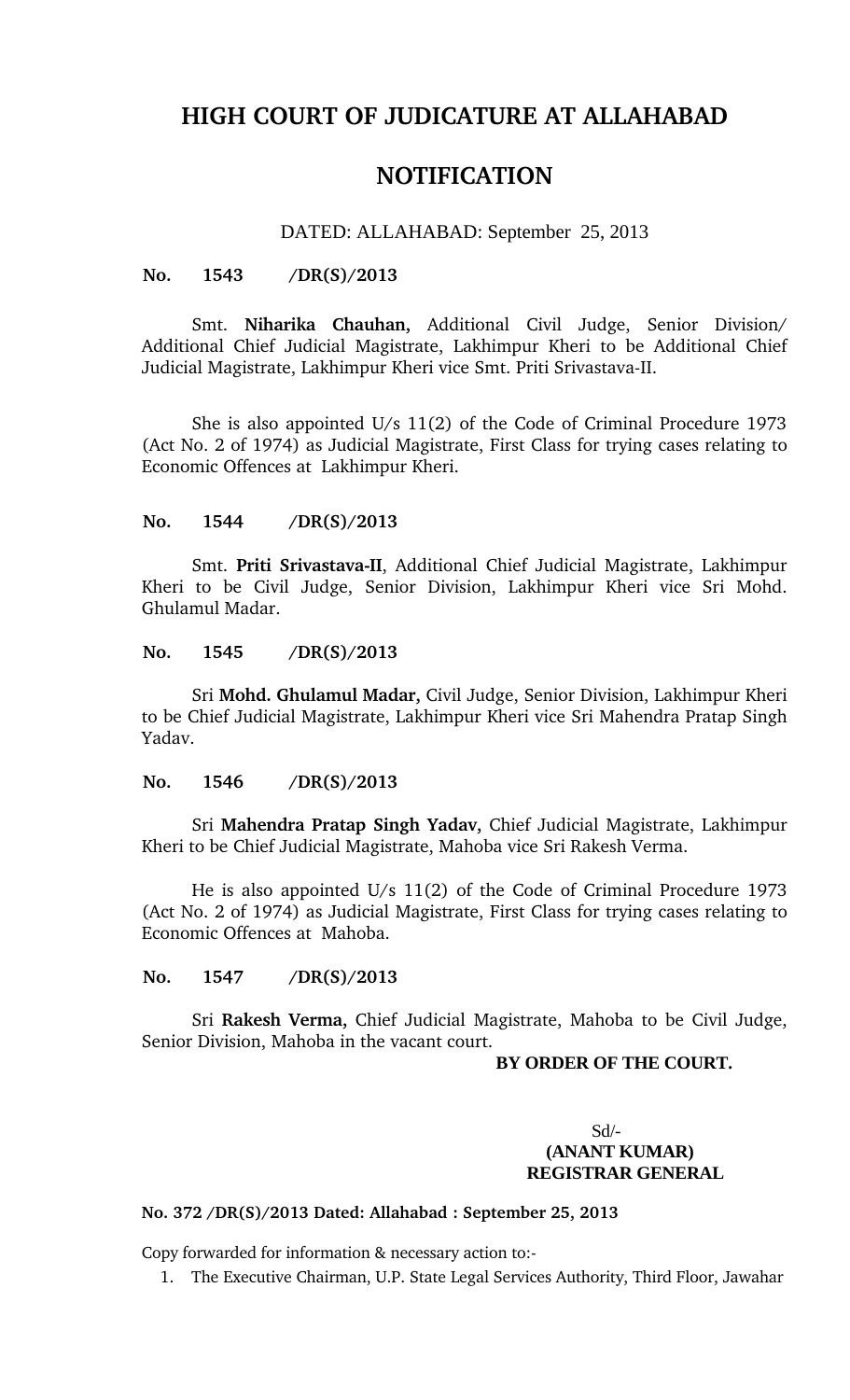# **HIGH COURT OF JUDICATURE AT ALLAHABAD**

# **NOTIFICATION**

## DATED: ALLAHABAD: September 25, 2013

#### **No. 1543 /DR(S)/2013**

Smt. **Niharika Chauhan**, Additional Civil Judge, Senior Division/ Additional Chief Judicial Magistrate, Lakhimpur Kheri to be Additional Chief Judicial Magistrate, Lakhimpur Kheri vice Smt. Priti Srivastava-II.

She is also appointed U/s 11(2) of the Code of Criminal Procedure 1973 (Act No. 2 of 1974) as Judicial Magistrate, First Class for trying cases relating to Economic Offences at Lakhimpur Kheri.

#### **No. 1544 /DR(S)/2013**

Smt. Priti Srivastava-II, Additional Chief Judicial Magistrate, Lakhimpur Kheri to be Civil Judge, Senior Division, Lakhimpur Kheri vice Sri Mohd. Ghulamul Madar.

#### **No. 1545 /DR(S)/2013**

Sri **Mohd. Ghulamul Madar,** Civil Judge, Senior Division, Lakhimpur Kheri to be Chief Judicial Magistrate, Lakhimpur Kheri vice Sri Mahendra Pratap Singh Yadav.

#### **No. 1546 /DR(S)/2013**

Sri **Mahendra Pratap Singh Yadav,** Chief Judicial Magistrate, Lakhimpur Kheri to be Chief Judicial Magistrate, Mahoba vice Sri Rakesh Verma.

He is also appointed U/s 11(2) of the Code of Criminal Procedure 1973 (Act No. 2 of 1974) as Judicial Magistrate, First Class for trying cases relating to Economic Offences at Mahoba.

#### **No. 1547 /DR(S)/2013**

Sri **Rakesh Verma,** Chief Judicial Magistrate, Mahoba to be Civil Judge, Senior Division, Mahoba in the vacant court.

#### **BY ORDER OF THE COURT.**

## Sd/- **(ANANT KUMAR) REGISTRAR GENERAL**

## **No. 372 /DR(S)/2013 Dated: Allahabad : September 25, 2013**

Copy forwarded for information & necessary action to:

1. The Executive Chairman, U.P. State Legal Services Authority, Third Floor, Jawahar